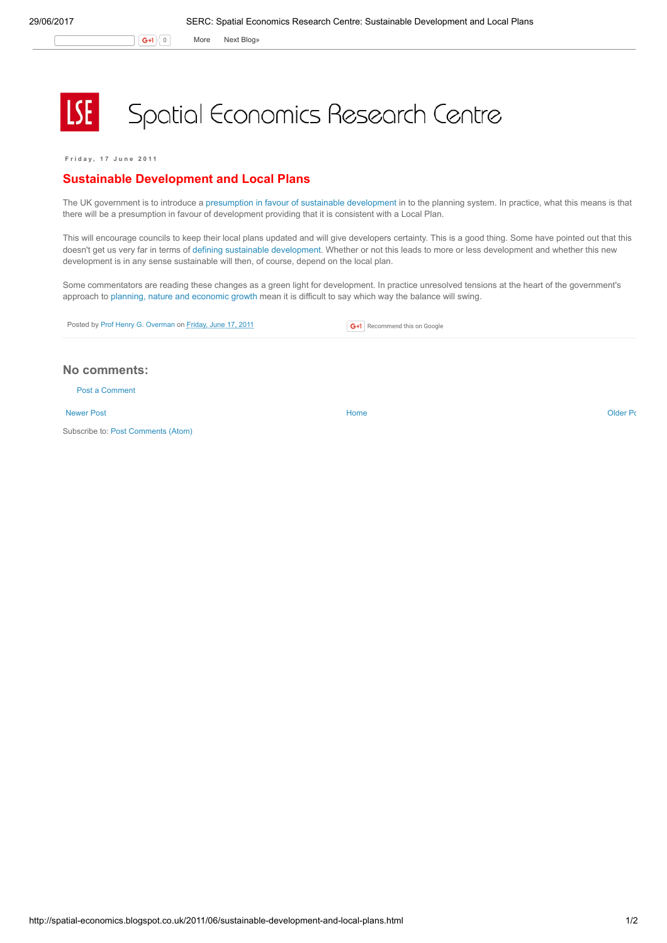G+1 0 More Next [Blog»](https://www.blogger.com/next-blog?navBar=true&blogID=974562301377041914)

## Spatial Economics Research Centre

F r i d a y , 1 7 J u n e 2 0 1 1

## Sustainable Development and Local Plans

The UK government is to introduce a presumption in favour of sustainable [development](http://www.communities.gov.uk/news/newsroom/1923169) in to the planning system. In practice, what this means is that there will be a presumption in favour of development providing that it is consistent with a Local Plan.

This will encourage councils to keep their local plans updated and will give developers certainty. This is a good thing. Some have pointed out that this doesn't get us very far in terms of defining sustainable [development](http://twitpic.com/5c2x0t). Whether or not this leads to more or less development and whether this new development is in any sense sustainable will then, of course, depend on the local plan.

Some commentators are reading these changes as a green light for development. In practice unresolved tensions at the heart of the government's approach to planning, nature and [economic](http://spatial-economics.blogspot.com/2011/06/plannning-nature-and-growth-unresolved.html) growth mean it is difficult to say which way the balance will swing.

Posted by Prof Henry G. [Overman](https://www.blogger.com/profile/15203876610491317062) on [Friday,](http://spatial-economics.blogspot.co.uk/2011/06/sustainable-development-and-local-plans.html) June 17, 2011

**G+1** Recommend this on Google

## No comments:

Post a [Comment](https://www.blogger.com/comment.g?blogID=974562301377041914&postID=2744019929881787001)

[Newer](http://spatial-economics.blogspot.co.uk/2011/06/local-procurement-and-jobs-for-local.html) Post and the contract of the contract of the [Home](http://spatial-economics.blogspot.co.uk/) of the contract of the contract of the contract of the contract of the contract of the contract of the contract of the contract of the contract of the contract of the

Subscribe to: Post [Comments](http://spatial-economics.blogspot.com/feeds/2744019929881787001/comments/default) (Atom)